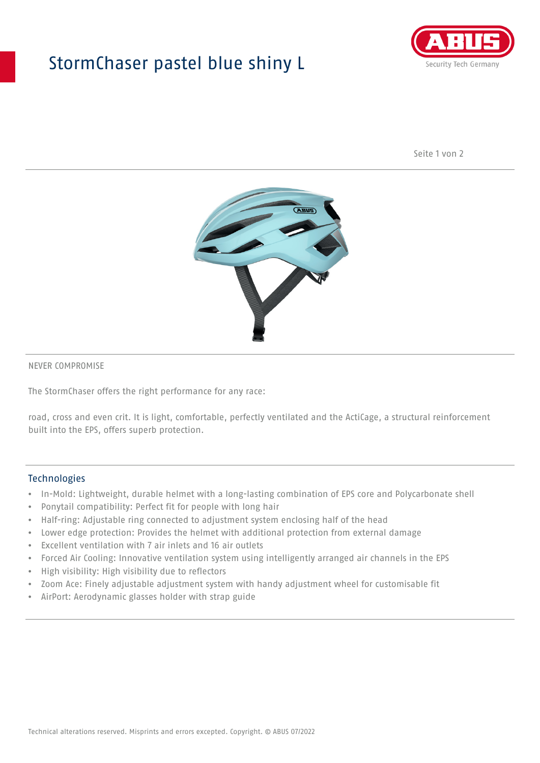## StormChaser pastel blue shiny L



Seite 1 von 2



#### NEVER COMPROMISE

The StormChaser offers the right performance for any race:

road, cross and even crit. It is light, comfortable, perfectly ventilated and the ActiCage, a structural reinforcement built into the EPS, offers superb protection.

#### **Technologies**

- In-Mold: Lightweight, durable helmet with a long-lasting combination of EPS core and Polycarbonate shell
- Ponytail compatibility: Perfect fit for people with long hair
- Half-ring: Adjustable ring connected to adjustment system enclosing half of the head
- Lower edge protection: Provides the helmet with additional protection from external damage
- Excellent ventilation with 7 air inlets and 16 air outlets
- Forced Air Cooling: Innovative ventilation system using intelligently arranged air channels in the EPS
- High visibility: High visibility due to reflectors
- Zoom Ace: Finely adjustable adjustment system with handy adjustment wheel for customisable fit
- AirPort: Aerodynamic glasses holder with strap guide